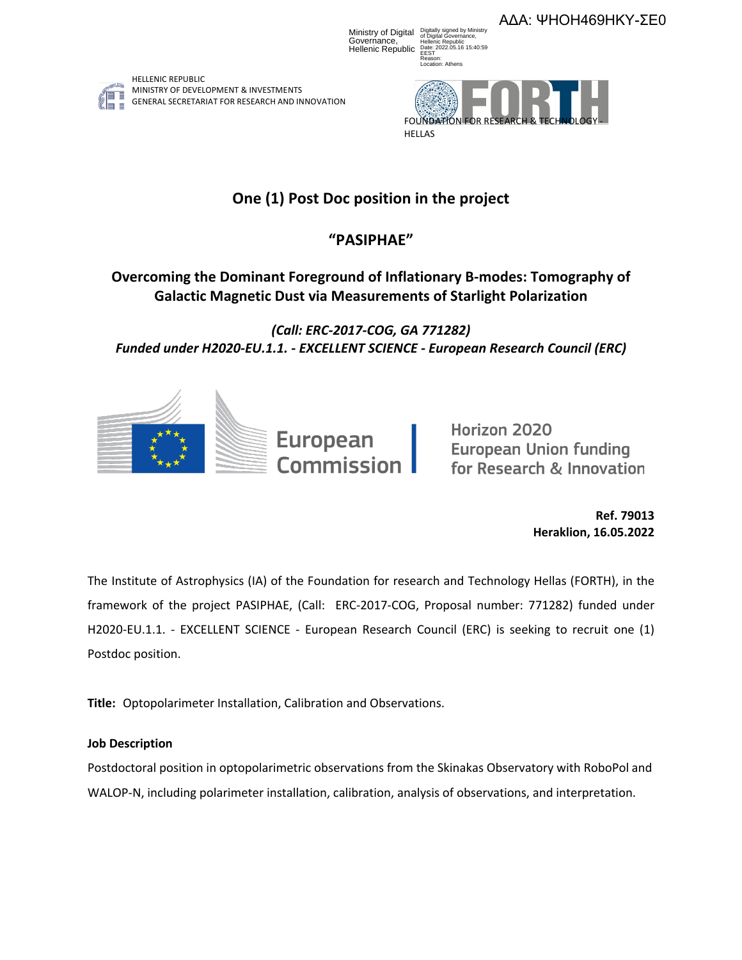Ministry of Digital Governance, Hellenic Republic Digitally signed by Ministry of Digital Governance, EEST

Hellenic Republic Date: 2022.05.16 15:40:59 Reason: Location: Athens



HELLENIC REPUBLIC MINISTRY OF DEVELOPMENT & INVESTMENTS GENERAL SECRETARIAT FOR RESEARCH AND INNOVATION



# **One (1) Post Doc position in the project**

## **"PASIPHAE"**

### **Overcoming the Dominant Foreground of Inflationary B-modes: Tomography of Galactic Magnetic Dust via Measurements of Starlight Polarization**

*(Call: ERC-2017-COG, GA 771282) Funded under H2020-EU.1.1. - EXCELLENT SCIENCE - European Research Council (ERC)*



Horizon 2020 **European Union funding** for Research & Innovation

> **Ref. 79013 Heraklion, 16.05.2022**

The Institute of Astrophysics (IA) of the Foundation for research and Technology Hellas (FORTH), in the framework of the project PASIPHAE, (Call: ERC-2017-COG, Proposal number: 771282) funded under H2020-EU.1.1. - EXCELLENT SCIENCE - European Research Council (ERC) is seeking to recruit one (1) Postdoc position.

**Title:** Optopolarimeter Installation, Calibration and Observations.

### **Job Description**

Postdoctoral position in optopolarimetric observations from the Skinakas Observatory with RoboPol and WALOP-N, including polarimeter installation, calibration, analysis of observations, and interpretation.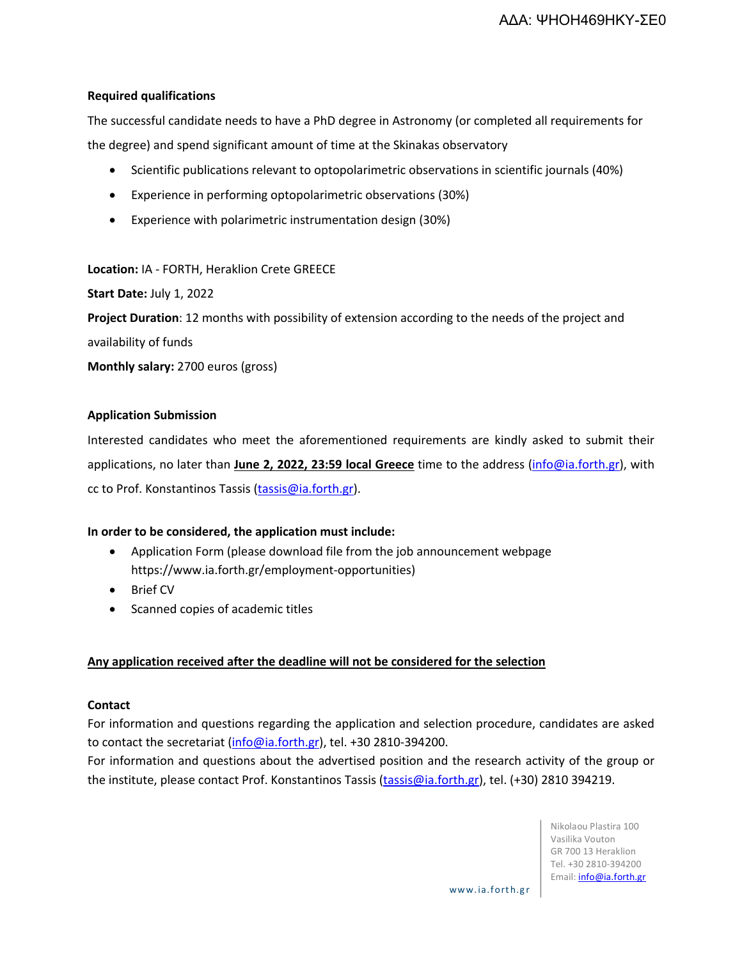#### **Required qualifications**

The successful candidate needs to have a PhD degree in Astronomy (or completed all requirements for the degree) and spend significant amount of time at the Skinakas observatory

- Scientific publications relevant to optopolarimetric observations in scientific journals (40%)
- Experience in performing optopolarimetric observations (30%)
- Experience with polarimetric instrumentation design (30%)

#### **Location:** IA - FORTH, Heraklion Crete GREECE

#### **Start Date:** July 1, 2022

**Project Duration**: 12 months with possibility of extension according to the needs of the project and

availability of funds

**Monthly salary:** 2700 euros (gross)

#### **Application Submission**

Interested candidates who meet the aforementioned requirements are kindly asked to submit their applications, no later than **June 2, 2022, 23:59 local Greece** time to the address (info@ia.forth.gr), with cc to Prof. Konstantinos Tassis (tassis@ia.forth.gr).

#### **In order to be considered, the application must include:**

- Application Form (please download file from the job announcement webpage https://www.ia.forth.gr/employment-opportunities)
- Brief CV
- Scanned copies of academic titles

#### **Any application received after the deadline will not be considered for the selection**

#### **Contact**

For information and questions regarding the application and selection procedure, candidates are asked to contact the secretariat (info@ia.forth.gr), tel. +30 2810-394200.

For information and questions about the advertised position and the research activity of the group or the institute, please contact Prof. Konstantinos Tassis (tassis@ia.forth.gr), tel. (+30) 2810 394219.

> Nikolaou Plastira 100 Vasilika Vouton GR 700 13 Heraklion Tel. +30 2810-394200 Email: info@ia.forth.gr

www.ia.forth.gr